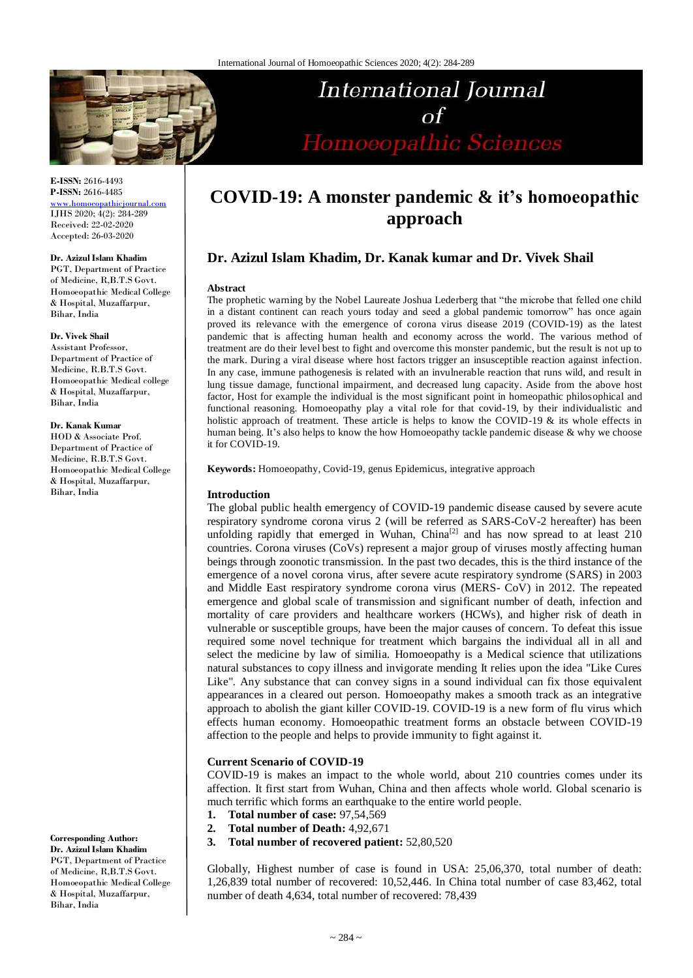

**E-ISSN:** 2616-4493 **P-ISSN:** 2616-4485

[www.homoeopathicjournal.com](http://www.homoeopathicjournal.com/) IJHS 2020; 4(2): 284-289 Received: 22-02-2020 Accepted: 26-03-2020

#### **Dr. Azizul Islam Khadim**

PGT, Department of Practice of Medicine, R,B.T.S Govt. Homoeopathic Medical College & Hospital, Muzaffarpur, Bihar, India

#### **Dr. Vivek Shail**

Assistant Professor, Department of Practice of Medicine, R.B.T.S Govt. Homoeopathic Medical college & Hospital, Muzaffarpur, Bihar, India

#### **Dr. Kanak Kumar**

HOD & Associate Prof. Department of Practice of Medicine, R.B.T.S Govt. Homoeopathic Medical College & Hospital, Muzaffarpur, Bihar, India

**Corresponding Author: Dr. Azizul Islam Khadim**

PGT, Department of Practice of Medicine, R,B.T.S Govt. Homoeopathic Medical College & Hospital, Muzaffarpur, Bihar, India

# **COVID-19: A monster pandemic & it's homoeopathic approach**

International Journal

 $\Omega$ 

Homoeopathic Sciences

# **Dr. Azizul Islam Khadim, Dr. Kanak kumar and Dr. Vivek Shail**

#### **Abstract**

The prophetic warning by the Nobel Laureate Joshua Lederberg that "the microbe that felled one child in a distant continent can reach yours today and seed a global pandemic tomorrow" has once again proved its relevance with the emergence of corona virus disease 2019 (COVID-19) as the latest pandemic that is affecting human health and economy across the world. The various method of treatment are do their level best to fight and overcome this monster pandemic, but the result is not up to the mark. During a viral disease where host factors trigger an insusceptible reaction against infection. In any case, immune pathogenesis is related with an invulnerable reaction that runs wild, and result in lung tissue damage, functional impairment, and decreased lung capacity. Aside from the above host factor, Host for example the individual is the most significant point in homeopathic philosophical and functional reasoning. Homoeopathy play a vital role for that covid-19, by their individualistic and holistic approach of treatment. These article is helps to know the COVID-19  $\&$  its whole effects in human being. It's also helps to know the how Homoeopathy tackle pandemic disease & why we choose it for COVID-19.

**Keywords:** Homoeopathy, Covid-19, genus Epidemicus, integrative approach

#### **Introduction**

The global public health emergency of COVID-19 pandemic disease caused by severe acute respiratory syndrome corona virus 2 (will be referred as SARS-CoV-2 hereafter) has been unfolding rapidly that emerged in Wuhan, China<sup>[2]</sup> and has now spread to at least  $210$ countries. Corona viruses (CoVs) represent a major group of viruses mostly affecting human beings through zoonotic transmission. In the past two decades, this is the third instance of the emergence of a novel corona virus, after severe acute respiratory syndrome (SARS) in 2003 and Middle East respiratory syndrome corona virus (MERS- CoV) in 2012. The repeated emergence and global scale of transmission and significant number of death, infection and mortality of care providers and healthcare workers (HCWs), and higher risk of death in vulnerable or susceptible groups, have been the major causes of concern. To defeat this issue required some novel technique for treatment which bargains the individual all in all and select the medicine by law of similia. Homoeopathy is a Medical science that utilizations natural substances to copy illness and invigorate mending It relies upon the idea "Like Cures Like". Any substance that can convey signs in a sound individual can fix those equivalent appearances in a cleared out person. Homoeopathy makes a smooth track as an integrative approach to abolish the giant killer COVID-19. COVID-19 is a new form of flu virus which effects human economy. Homoeopathic treatment forms an obstacle between COVID-19 affection to the people and helps to provide immunity to fight against it.

## **Current Scenario of COVID-19**

COVID-19 is makes an impact to the whole world, about 210 countries comes under its affection. It first start from Wuhan, China and then affects whole world. Global scenario is much terrific which forms an earthquake to the entire world people.

- **1. Total number of case:** 97,54,569
- **2. Total number of Death:** 4,92,671
- **3. Total number of recovered patient:** 52,80,520

Globally, Highest number of case is found in USA: 25,06,370, total number of death: 1,26,839 total number of recovered: 10,52,446. In China total number of case 83,462, total number of death 4,634, total number of recovered: 78,439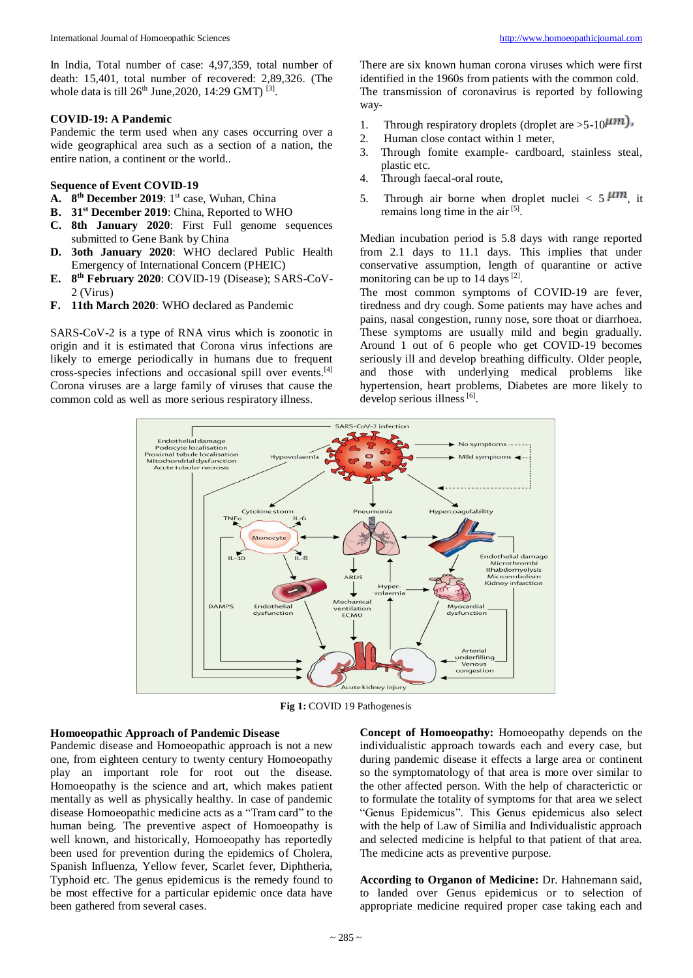In India, Total number of case: 4,97,359, total number of death: 15,401, total number of recovered: 2,89,326. (The whole data is till  $26^{th}$  June, 2020, 14:29 GMT) <sup>[3]</sup>.

#### **COVID-19: A Pandemic**

Pandemic the term used when any cases occurring over a wide geographical area such as a section of a nation, the entire nation, a continent or the world..

## **Sequence of Event COVID-19**

- A. 8<sup>th</sup> December 2019: 1<sup>st</sup> case, Wuhan, China
- **B. 31st December 2019**: China, Reported to WHO
- **C. 8th January 2020**: First Full genome sequences submitted to Gene Bank by China
- **D. 3oth January 2020**: WHO declared Public Health Emergency of International Concern (PHEIC)
- **E. 8 th February 2020**: COVID-19 (Disease); SARS-CoV-2 (Virus)
- **F. 11th March 2020**: WHO declared as Pandemic

SARS-CoV-2 is a type of RNA virus which is zoonotic in origin and it is estimated that Corona virus infections are likely to emerge periodically in humans due to frequent cross-species infections and occasional spill over events.[4] Corona viruses are a large family of viruses that cause the common cold as well as more serious respiratory illness.

There are six known human corona viruses which were first identified in the 1960s from patients with the common cold. The transmission of coronavirus is reported by following way-

- 1. Through respiratory droplets (droplet are  $>5-10$  $\mu$ m),
- 2. Human close contact within 1 meter,
- 3. Through fomite example- cardboard, stainless steal, plastic etc.
- 4. Through faecal-oral route,
- 5. Through air borne when droplet nuclei  $\lt 5$   $\mu$ m, it remains long time in the air<sup>[5]</sup>.

Median incubation period is 5.8 days with range reported from 2.1 days to 11.1 days. This implies that under conservative assumption, length of quarantine or active monitoring can be up to 14 days [2].

The most common symptoms of COVID-19 are fever, tiredness and dry cough. Some patients may have aches and pains, nasal congestion, runny nose, sore thoat or diarrhoea. These symptoms are usually mild and begin gradually. Around 1 out of 6 people who get COVID-19 becomes seriously ill and develop breathing difficulty. Older people, and those with underlying medical problems like hypertension, heart problems, Diabetes are more likely to develop serious illness [6].



**Fig 1:** COVID 19 Pathogenesis

#### **Homoeopathic Approach of Pandemic Disease**

Pandemic disease and Homoeopathic approach is not a new one, from eighteen century to twenty century Homoeopathy play an important role for root out the disease. Homoeopathy is the science and art, which makes patient mentally as well as physically healthy. In case of pandemic disease Homoeopathic medicine acts as a "Tram card" to the human being. The preventive aspect of Homoeopathy is well known, and historically, Homoeopathy has reportedly been used for prevention during the epidemics of Cholera, Spanish Influenza, Yellow fever, Scarlet fever, Diphtheria, Typhoid etc. The genus epidemicus is the remedy found to be most effective for a particular epidemic once data have been gathered from several cases.

**Concept of Homoeopathy:** Homoeopathy depends on the individualistic approach towards each and every case, but during pandemic disease it effects a large area or continent so the symptomatology of that area is more over similar to the other affected person. With the help of characterictic or to formulate the totality of symptoms for that area we select "Genus Epidemicus". This Genus epidemicus also select with the help of Law of Similia and Individualistic approach and selected medicine is helpful to that patient of that area. The medicine acts as preventive purpose.

**According to Organon of Medicine:** Dr. Hahnemann said, to landed over Genus epidemicus or to selection of appropriate medicine required proper case taking each and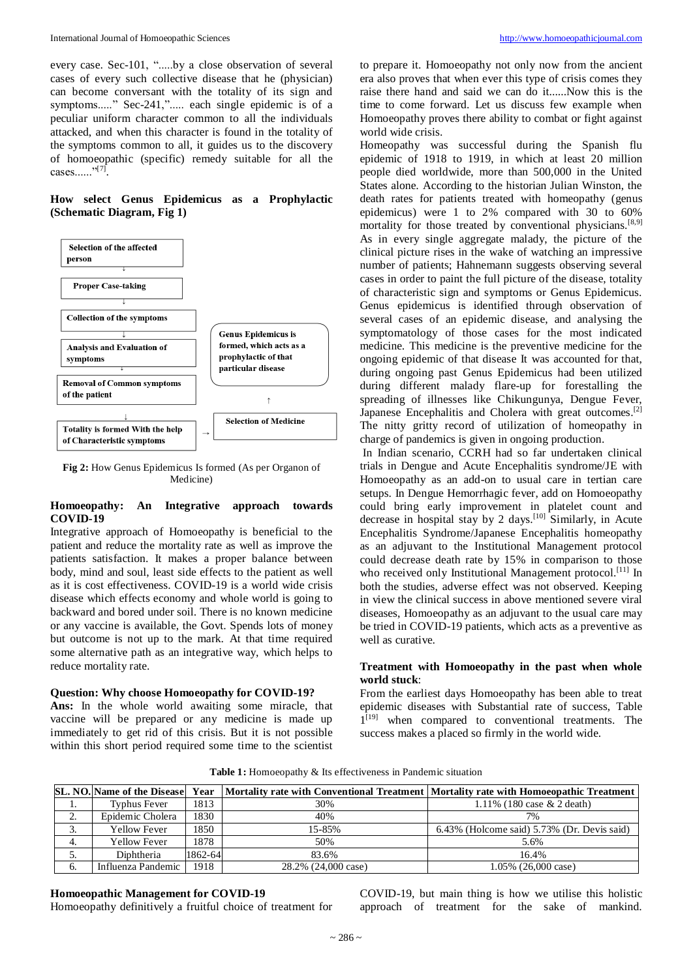every case. Sec-101, ".....by a close observation of several cases of every such collective disease that he (physician) can become conversant with the totality of its sign and symptoms....." Sec-241,"..... each single epidemic is of a peculiar uniform character common to all the individuals attacked, and when this character is found in the totality of the symptoms common to all, it guides us to the discovery of homoeopathic (specific) remedy suitable for all the cases......"<sup>[7]</sup>.

## **How select Genus Epidemicus as a Prophylactic (Schematic Diagram, Fig 1)**



**Fig 2:** How Genus Epidemicus Is formed (As per Organon of Medicine)

## **Homoeopathy: An Integrative approach towards COVID-19**

Integrative approach of Homoeopathy is beneficial to the patient and reduce the mortality rate as well as improve the patients satisfaction. It makes a proper balance between body, mind and soul, least side effects to the patient as well as it is cost effectiveness. COVID-19 is a world wide crisis disease which effects economy and whole world is going to backward and bored under soil. There is no known medicine or any vaccine is available, the Govt. Spends lots of money but outcome is not up to the mark. At that time required some alternative path as an integrative way, which helps to reduce mortality rate.

#### **Question: Why choose Homoeopathy for COVID-19?**

**Ans:** In the whole world awaiting some miracle, that vaccine will be prepared or any medicine is made up immediately to get rid of this crisis. But it is not possible within this short period required some time to the scientist to prepare it. Homoeopathy not only now from the ancient era also proves that when ever this type of crisis comes they raise there hand and said we can do it......Now this is the time to come forward. Let us discuss few example when Homoeopathy proves there ability to combat or fight against world wide crisis.

Homeopathy was successful during the Spanish flu epidemic of 1918 to 1919, in which at least 20 million people died worldwide, more than 500,000 in the United States alone. According to the historian Julian Winston, the death rates for patients treated with homeopathy (genus epidemicus) were 1 to 2% compared with 30 to 60% mortality for those treated by conventional physicians.<sup>[8,9]</sup> As in every single aggregate malady, the picture of the clinical picture rises in the wake of watching an impressive number of patients; Hahnemann suggests observing several cases in order to paint the full picture of the disease, totality of characteristic sign and symptoms or Genus Epidemicus. Genus epidemicus is identified through observation of several cases of an epidemic disease, and analysing the symptomatology of those cases for the most indicated medicine. This medicine is the preventive medicine for the ongoing epidemic of that disease It was accounted for that, during ongoing past Genus Epidemicus had been utilized during different malady flare-up for forestalling the spreading of illnesses like Chikungunya, Dengue Fever, Japanese Encephalitis and Cholera with great outcomes.<sup>[2]</sup> The nitty gritty record of utilization of homeopathy in charge of pandemics is given in ongoing production.

In Indian scenario, CCRH had so far undertaken clinical trials in Dengue and Acute Encephalitis syndrome/JE with Homoeopathy as an add-on to usual care in tertian care setups. In Dengue Hemorrhagic fever, add on Homoeopathy could bring early improvement in platelet count and decrease in hospital stay by 2 days.<sup>[10]</sup> Similarly, in Acute Encephalitis Syndrome/Japanese Encephalitis homeopathy as an adjuvant to the Institutional Management protocol could decrease death rate by 15% in comparison to those who received only Institutional Management protocol.<sup>[11]</sup> In both the studies, adverse effect was not observed. Keeping in view the clinical success in above mentioned severe viral diseases, Homoeopathy as an adjuvant to the usual care may be tried in COVID-19 patients, which acts as a preventive as well as curative.

## **Treatment with Homoeopathy in the past when whole world stuck**:

From the earliest days Homoeopathy has been able to treat epidemic diseases with Substantial rate of success, Table 1 [19] when compared to conventional treatments. The success makes a placed so firmly in the world wide.

**Table 1:** Homoeopathy & Its effectiveness in Pandemic situation

|                  | <b>SL. NO. Name of the Disease</b> |         |                     | <b>Year</b> Mortality rate with Conventional Treatment Mortality rate with Homoeopathic Treatment |
|------------------|------------------------------------|---------|---------------------|---------------------------------------------------------------------------------------------------|
| $\mathbf{I}$     | Typhus Fever                       | 1813    | 30%                 | 1.11% $(180 \text{ case } \& 2 \text{ death})$                                                    |
| L.               | Epidemic Cholera                   | 1830    | 40%                 | 7%                                                                                                |
| $\mathfrak{I}$ . | <b>Yellow Fever</b>                | 1850    | 15-85%              | 6.43% (Holcome said) 5.73% (Dr. Devis said)                                                       |
| 4.               | <b>Yellow Fever</b>                | 1878.   | 50%                 | 5.6%                                                                                              |
| $\mathcal{L}$    | Diphtheria                         | 1862-64 | 83.6%               | 16.4%                                                                                             |
| -6.              | Influenza Pandemic                 | 1918    | 28.2% (24,000 case) | $1.05\%$ (26,000 case)                                                                            |

# **Homoeopathic Management for COVID-19**

Homoeopathy definitively a fruitful choice of treatment for

COVID-19, but main thing is how we utilise this holistic approach of treatment for the sake of mankind.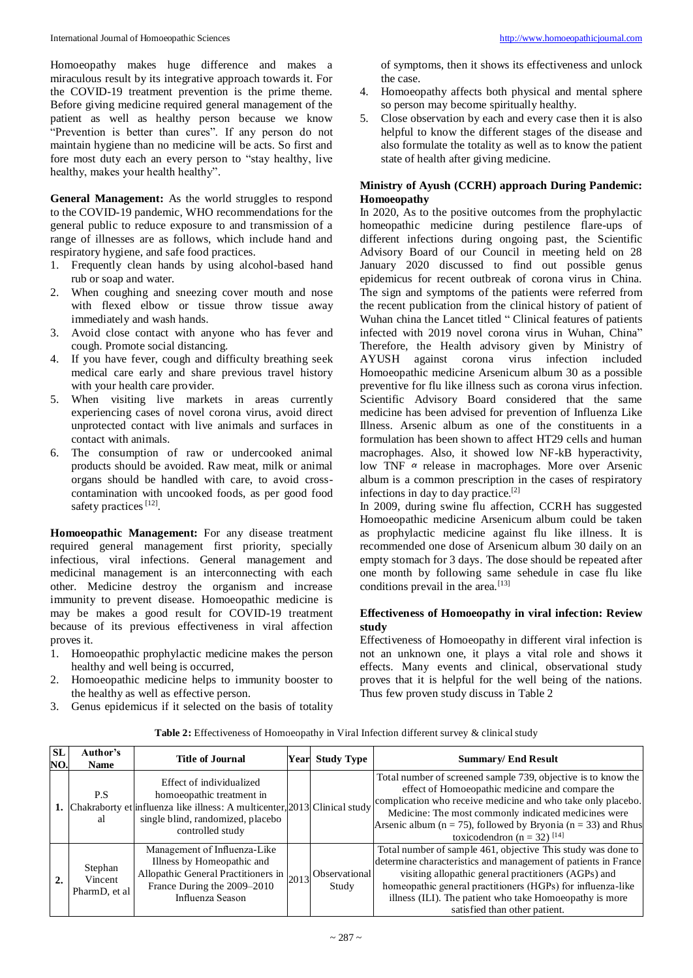Homoeopathy makes huge difference and makes a miraculous result by its integrative approach towards it. For the COVID-19 treatment prevention is the prime theme. Before giving medicine required general management of the patient as well as healthy person because we know "Prevention is better than cures". If any person do not maintain hygiene than no medicine will be acts. So first and fore most duty each an every person to "stay healthy, live healthy, makes your health healthy".

**General Management:** As the world struggles to respond to the COVID-19 pandemic, WHO recommendations for the general public to reduce exposure to and transmission of a range of illnesses are as follows, which include hand and respiratory hygiene, and safe food practices.

- 1. Frequently clean hands by using alcohol-based hand rub or soap and water.
- 2. When coughing and sneezing cover mouth and nose with flexed elbow or tissue throw tissue away immediately and wash hands.
- 3. Avoid close contact with anyone who has fever and cough. Promote social distancing.
- 4. If you have fever, cough and difficulty breathing seek medical care early and share previous travel history with your health care provider.
- 5. When visiting live markets in areas currently experiencing cases of novel corona virus, avoid direct unprotected contact with live animals and surfaces in contact with animals.
- 6. The consumption of raw or undercooked animal products should be avoided. Raw meat, milk or animal organs should be handled with care, to avoid crosscontamination with uncooked foods, as per good food safety practices<sup>[12]</sup>.

**Homoeopathic Management:** For any disease treatment required general management first priority, specially infectious, viral infections. General management and medicinal management is an interconnecting with each other. Medicine destroy the organism and increase immunity to prevent disease. Homoeopathic medicine is may be makes a good result for COVID-19 treatment because of its previous effectiveness in viral affection proves it.

- 1. Homoeopathic prophylactic medicine makes the person healthy and well being is occurred,
- 2. Homoeopathic medicine helps to immunity booster to the healthy as well as effective person.
- 3. Genus epidemicus if it selected on the basis of totality

of symptoms, then it shows its effectiveness and unlock the case.

- 4. Homoeopathy affects both physical and mental sphere so person may become spiritually healthy.
- 5. Close observation by each and every case then it is also helpful to know the different stages of the disease and also formulate the totality as well as to know the patient state of health after giving medicine.

## **Ministry of Ayush (CCRH) approach During Pandemic: Homoeopathy**

In 2020, As to the positive outcomes from the prophylactic homeopathic medicine during pestilence flare-ups of different infections during ongoing past, the Scientific Advisory Board of our Council in meeting held on 28 January 2020 discussed to find out possible genus epidemicus for recent outbreak of corona virus in China. The sign and symptoms of the patients were referred from the recent publication from the clinical history of patient of Wuhan china the Lancet titled " Clinical features of patients infected with 2019 novel corona virus in Wuhan, China" Therefore, the Health advisory given by Ministry of AYUSH against corona virus infection included Homoeopathic medicine Arsenicum album 30 as a possible preventive for flu like illness such as corona virus infection. Scientific Advisory Board considered that the same medicine has been advised for prevention of Influenza Like Illness. Arsenic album as one of the constituents in a formulation has been shown to affect HT29 cells and human macrophages. Also, it showed low NF-kB hyperactivity, low TNF  $\alpha$  release in macrophages. More over Arsenic album is a common prescription in the cases of respiratory infections in day to day practice.[2]

In 2009, during swine flu affection, CCRH has suggested Homoeopathic medicine Arsenicum album could be taken as prophylactic medicine against flu like illness. It is recommended one dose of Arsenicum album 30 daily on an empty stomach for 3 days. The dose should be repeated after one month by following same sehedule in case flu like conditions prevail in the area.<sup>[13]</sup>

## **Effectiveness of Homoeopathy in viral infection: Review study**

Effectiveness of Homoeopathy in different viral infection is not an unknown one, it plays a vital role and shows it effects. Many events and clinical, observational study proves that it is helpful for the well being of the nations. Thus few proven study discuss in Table 2

| Table 2: Effectiveness of Homoeopathy in Viral Infection different survey & clinical study |  |  |  |
|--------------------------------------------------------------------------------------------|--|--|--|
|--------------------------------------------------------------------------------------------|--|--|--|

| <b>SL</b><br>NO. | Author's<br><b>Name</b>             | <b>Title of Journal</b>                                                                                                                                                                        | Year Study Type               | <b>Summary/ End Result</b>                                                                                                                                                                                                                                                                                                                                  |
|------------------|-------------------------------------|------------------------------------------------------------------------------------------------------------------------------------------------------------------------------------------------|-------------------------------|-------------------------------------------------------------------------------------------------------------------------------------------------------------------------------------------------------------------------------------------------------------------------------------------------------------------------------------------------------------|
|                  | P.S<br>al                           | Effect of individualized<br>homoeopathic treatment in<br>1. Chakraborty et influenza like illness: A multicenter, 2013 Clinical study<br>single blind, randomized, placebo<br>controlled study |                               | Total number of screened sample 739, objective is to know the<br>effect of Homoeopathic medicine and compare the<br>complication who receive medicine and who take only placebo.<br>Medicine: The most commonly indicated medicines were<br>Arsenic album ( $n = 75$ ), followed by Bryonia ( $n = 33$ ) and Rhus<br>toxicodendron (n = 32) <sup>[14]</sup> |
|                  | Stephan<br>Vincent<br>PharmD, et al | Management of Influenza-Like<br>Illness by Homeopathic and<br>Allopathic General Practitioners in $ 2013 $<br>France During the 2009-2010<br>Influenza Season                                  | <b>Observational</b><br>Study | Total number of sample 461, objective This study was done to<br>determine characteristics and management of patients in France<br>visiting allopathic general practitioners (AGPs) and<br>homeopathic general practitioners (HGPs) for influenza-like<br>illness (ILI). The patient who take Homoeopathy is more<br>satisfied than other patient.           |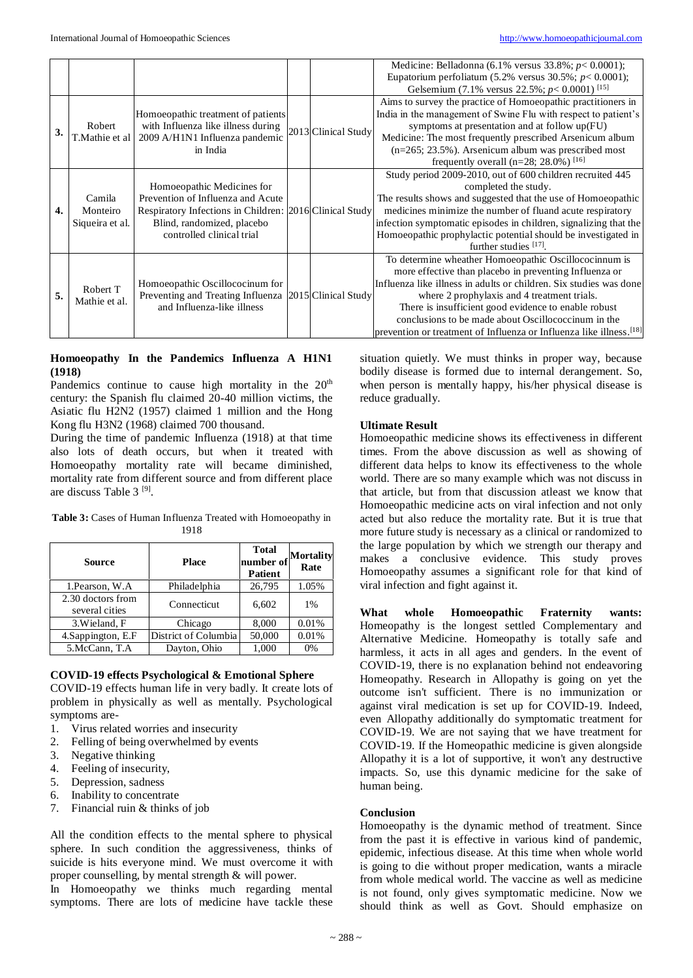|                  |                                       |                                                                                                                                                                                       |                     | Medicine: Belladonna (6.1% versus $33.8\%$ ; $p < 0.0001$ );<br>Eupatorium perfoliatum (5.2% versus 30.5%; $p < 0.0001$ );<br>Gelsemium (7.1% versus 22.5%; $p < 0.0001$ ) [15]                                                                                                                                                                                                                                                        |
|------------------|---------------------------------------|---------------------------------------------------------------------------------------------------------------------------------------------------------------------------------------|---------------------|----------------------------------------------------------------------------------------------------------------------------------------------------------------------------------------------------------------------------------------------------------------------------------------------------------------------------------------------------------------------------------------------------------------------------------------|
| 3.               | Robert<br>T.Mathie et al              | Homoeopathic treatment of patients<br>with Influenza like illness during<br>2009 A/H1N1 Influenza pandemic<br>in India                                                                | 2013 Clinical Study | Aims to survey the practice of Homoeopathic practitioners in<br>India in the management of Swine Flu with respect to patient's<br>symptoms at presentation and at follow up(FU)<br>Medicine: The most frequently prescribed Arsenicum album<br>$(n=265; 23.5\%)$ . Arsenicum album was prescribed most<br>frequently overall (n=28; 28.0%) [16]                                                                                        |
| $\overline{4}$ . | Camila<br>Monteiro<br>Siqueira et al. | Homoeopathic Medicines for<br>Prevention of Influenza and Acute<br>Respiratory Infections in Children: 2016 Clinical Study<br>Blind, randomized, placebo<br>controlled clinical trial |                     | Study period 2009-2010, out of 600 children recruited 445<br>completed the study.<br>The results shows and suggested that the use of Homoeopathic<br>medicines minimize the number of fluand acute respiratory<br>infection symptomatic episodes in children, signalizing that the<br>Homoeopathic prophylactic potential should be investigated in<br>further studies $[17]$ .                                                        |
| 5.               | Robert T<br>Mathie et al.             | Homoeopathic Oscillococinum for<br>Preventing and Treating Influenza 2015 Clinical Study<br>and Influenza-like illness                                                                |                     | To determine wheather Homoeopathic Oscillococinnum is<br>more effective than placebo in preventing Influenza or<br>Influenza like illness in adults or children. Six studies was done<br>where 2 prophylaxis and 4 treatment trials.<br>There is insufficient good evidence to enable robust<br>conclusions to be made about Oscillococcinum in the<br>prevention or treatment of Influenza or Influenza like illness. <sup>[18]</sup> |

## **Homoeopathy In the Pandemics Influenza A H1N1 (1918)**

Pandemics continue to cause high mortality in the 20<sup>th</sup> century: the Spanish flu claimed 20-40 million victims, the Asiatic flu H2N2 (1957) claimed 1 million and the Hong Kong flu H3N2 (1968) claimed 700 thousand.

During the time of pandemic Influenza (1918) at that time also lots of death occurs, but when it treated with Homoeopathy mortality rate will became diminished, mortality rate from different source and from different place are discuss Table 3<sup>[9]</sup>.

**Table 3:** Cases of Human Influenza Treated with Homoeopathy in 1918

| Source                              | <b>Place</b>         | <b>Total</b><br>number of<br><b>Patient</b> | Mortality<br>Rate |
|-------------------------------------|----------------------|---------------------------------------------|-------------------|
| 1. Pearson, W.A.                    | Philadelphia         | 26,795                                      | 1.05%             |
| 2.30 doctors from<br>several cities | Connecticut          | 6,602                                       | 1%                |
| 3. Wieland, F                       | Chicago              | 8,000                                       | 0.01%             |
| 4. Sappington, E.F.                 | District of Columbia | 50,000                                      | 0.01%             |
| 5.McCann, T.A                       | Dayton, Ohio         | 1,000                                       | $0\%$             |

## **COVID-19 effects Psychological & Emotional Sphere**

COVID-19 effects human life in very badly. It create lots of problem in physically as well as mentally. Psychological symptoms are-

- 1. Virus related worries and insecurity
- 2. Felling of being overwhelmed by events
- 3. Negative thinking
- 4. Feeling of insecurity,
- 
- 5. Depression, sadness<br>6. Inability to concentrate Inability to concentrate
- 7. Financial ruin & thinks of job

All the condition effects to the mental sphere to physical sphere. In such condition the aggressiveness, thinks of suicide is hits everyone mind. We must overcome it with proper counselling, by mental strength & will power.

In Homoeopathy we thinks much regarding mental symptoms. There are lots of medicine have tackle these situation quietly. We must thinks in proper way, because bodily disease is formed due to internal derangement. So, when person is mentally happy, his/her physical disease is reduce gradually.

# **Ultimate Result**

Homoeopathic medicine shows its effectiveness in different times. From the above discussion as well as showing of different data helps to know its effectiveness to the whole world. There are so many example which was not discuss in that article, but from that discussion atleast we know that Homoeopathic medicine acts on viral infection and not only acted but also reduce the mortality rate. But it is true that more future study is necessary as a clinical or randomized to the large population by which we strength our therapy and makes a conclusive evidence. This study proves Homoeopathy assumes a significant role for that kind of viral infection and fight against it.

**What whole Homoeopathic Fraternity wants:** Homeopathy is the longest settled Complementary and Alternative Medicine. Homeopathy is totally safe and harmless, it acts in all ages and genders. In the event of COVID-19, there is no explanation behind not endeavoring Homeopathy. Research in Allopathy is going on yet the outcome isn't sufficient. There is no immunization or against viral medication is set up for COVID-19. Indeed, even Allopathy additionally do symptomatic treatment for COVID-19. We are not saying that we have treatment for COVID-19. If the Homeopathic medicine is given alongside Allopathy it is a lot of supportive, it won't any destructive impacts. So, use this dynamic medicine for the sake of human being.

# **Conclusion**

Homoeopathy is the dynamic method of treatment. Since from the past it is effective in various kind of pandemic, epidemic, infectious disease. At this time when whole world is going to die without proper medication, wants a miracle from whole medical world. The vaccine as well as medicine is not found, only gives symptomatic medicine. Now we should think as well as Govt. Should emphasize on